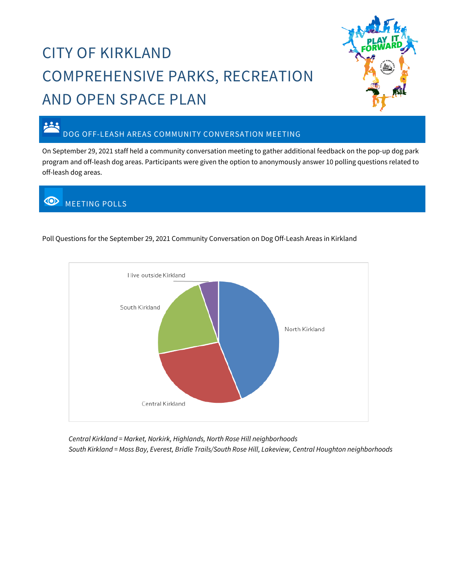## CITY OF KIRKLAND COMPREHENSIVE PARKS, RECREATION AND OPEN SPACE PLAN



## DOG OFF-LEASH AREAS COMMUNITY CONVERSATION MEETING

On September 29, 2021 staff held a community conversation meeting to gather additional feedback on the pop-up dog park program and off-leash dog areas. Participants were given the option to anonymously answer 10 polling questions related to off-leash dog areas.

## **WEETING POLLS**

223





*Central Kirkland = Market, Norkirk, Highlands, North Rose Hill neighborhoods South Kirkland = Moss Bay, Everest, Bridle Trails/South Rose Hill, Lakeview, Central Houghton neighborhoods*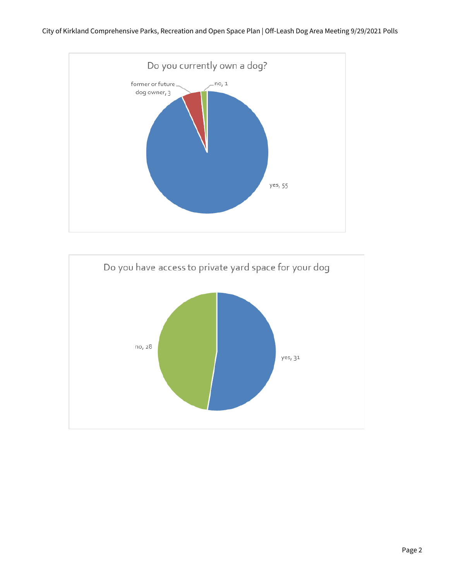

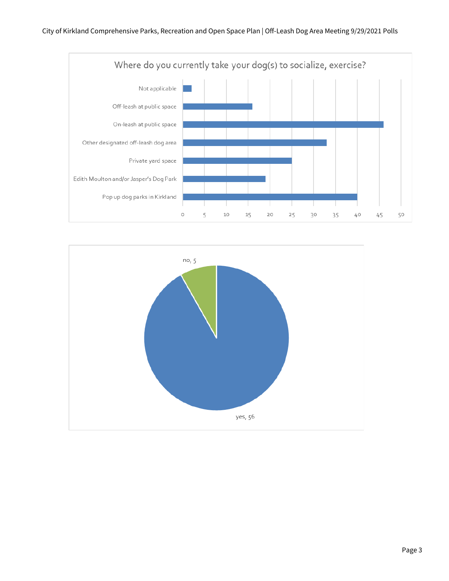

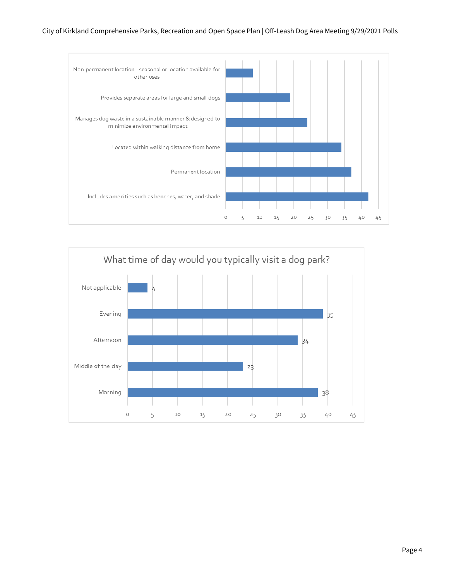## City of Kirkland Comprehensive Parks, Recreation and Open Space Plan | Off-Leash Dog Area Meeting 9/29/2021 Polls



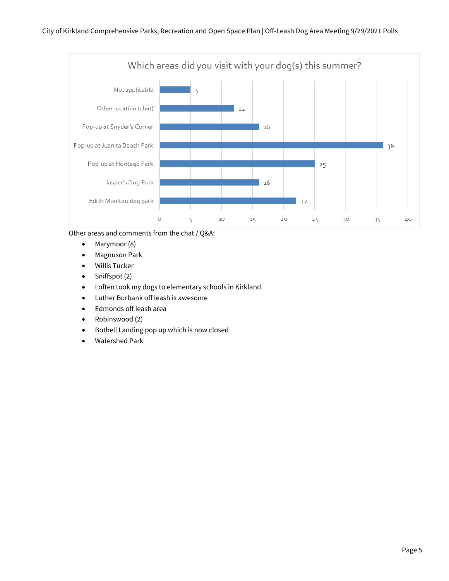

Other areas and comments from the chat / Q&A:

- Marymoor (8)
- Magnuson Park
- Willis Tucker
- Sniffspot (2)
- I often took my dogs to elementary schools in Kirkland
- Luther Burbank off leash is awesome
- Edmonds off leash area
- Robinswood (2)
- Bothell Landing pop up which is now closed
- Watershed Park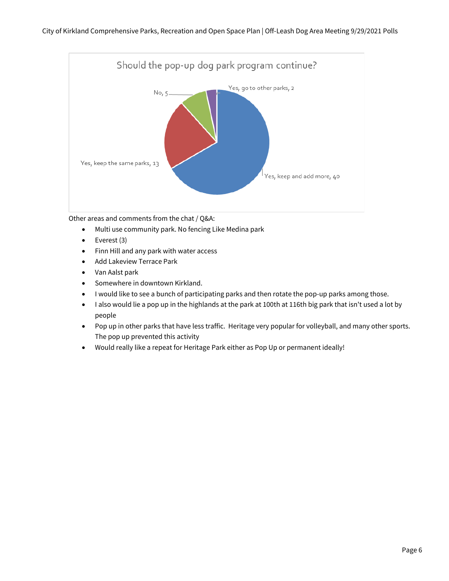

Other areas and comments from the chat / Q&A:

- Multi use community park. No fencing Like Medina park
- Everest (3)
- Finn Hill and any park with water access
- Add Lakeview Terrace Park
- Van Aalst park
- Somewhere in downtown Kirkland.
- I would like to see a bunch of participating parks and then rotate the pop-up parks among those.
- I also would lie a pop up in the highlands at the park at 100th at 116th big park that isn't used a lot by people
- Pop up in other parks that have less traffic. Heritage very popular for volleyball, and many other sports. The pop up prevented this activity
- Would really like a repeat for Heritage Park either as Pop Up or permanent ideally!